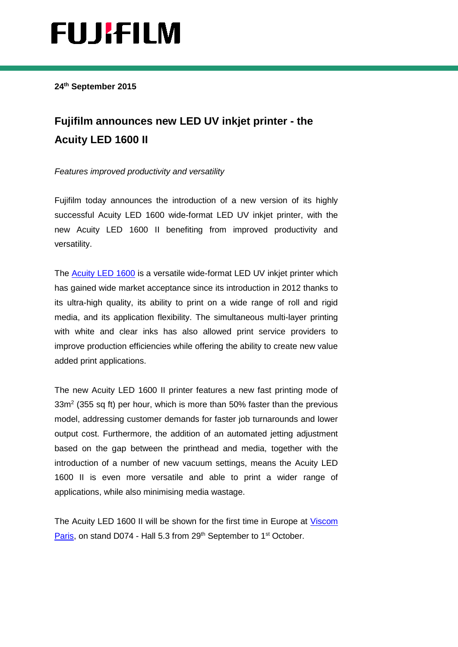## **FUJIFILM**

**24th September 2015**

### **Fujifilm announces new LED UV inkjet printer - the Acuity LED 1600 II**

#### *Features improved productivity and versatility*

Fujifilm today announces the introduction of a new version of its highly successful Acuity LED 1600 wide-format LED UV inkjet printer, with the new Acuity LED 1600 II benefiting from improved productivity and versatility.

The [Acuity LED 1600](https://www.fujifilm.eu/uk/products/graphic-systems/wide-format-inkjet/p/acuity-led-1600/) is a versatile wide-format LED UV inkjet printer which has gained wide market acceptance since its introduction in 2012 thanks to its ultra-high quality, its ability to print on a wide range of roll and rigid media, and its application flexibility. The simultaneous multi-layer printing with white and clear inks has also allowed print service providers to improve production efficiencies while offering the ability to create new value added print applications.

The new Acuity LED 1600 II printer features a new fast printing mode of 33m<sup>2</sup> (355 sq ft) per hour, which is more than 50% faster than the previous model, addressing customer demands for faster job turnarounds and lower output cost. Furthermore, the addition of an automated jetting adjustment based on the gap between the printhead and media, together with the introduction of a number of new vacuum settings, means the Acuity LED 1600 II is even more versatile and able to print a wider range of applications, while also minimising media wastage.

The Acuity LED 1600 II will be shown for the first time in Europe at [Viscom](http://www.viscom-paris.com/site/GB,C10192,I10192.htm?KM_Session=9eda31baba791657d514c468566a5ac2)  [Paris,](http://www.viscom-paris.com/site/GB,C10192,I10192.htm?KM_Session=9eda31baba791657d514c468566a5ac2) on stand D074 - Hall 5.3 from 29<sup>th</sup> September to 1<sup>st</sup> October.